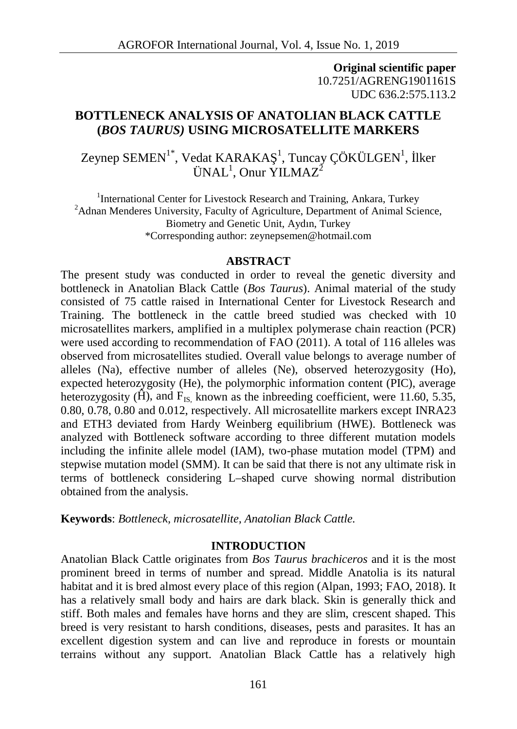**Original scientific paper** 10.7251/AGRENG1901161S UDC 636.2:575.113.2

# **BOTTLENECK ANALYSIS OF ANATOLIAN BLACK CATTLE (***BOS TAURUS)* **USING MICROSATELLITE MARKERS**

Zeynep SEMEN<sup>1\*</sup>, Vedat KARAKA $^{-1}$ , Tuncay ÇÖKÜLGEN<sup>1</sup>, Iker  $\text{UNAL}^1$ , Onur YILMAZ<sup>2</sup>

<sup>1</sup>International Center for Livestock Research and Training, Ankara, Turkey <sup>2</sup>Adnan Menderes University, Faculty of Agriculture, Department of Animal Science, Biometry and Genetic Unit, Aydın, Turkey \*Corresponding author: zeynepsemen@hotmail.com

#### **ABSTRACT**

The present study was conducted in order to reveal the genetic diversity and bottleneck in Anatolian Black Cattle (*Bos Taurus*). Animal material of the study consisted of 75 cattle raised in International Center for Livestock Research and Training. The bottleneck in the cattle breed studied was checked with 10 microsatellites markers, amplified in a multiplex polymerase chain reaction (PCR) were used according to recommendation of FAO (2011). A total of 116 alleles was observed from microsatellites studied. Overall value belongs to average number of alleles (Na), effective number of alleles (Ne), observed heterozygosity (Ho), expected heterozygosity (He), the polymorphic information content (PIC), average heterozygosity ( $\rightarrow$ ), and F<sub>IS</sub>, known as the inbreeding coefficient, were 11.60, 5.35, 0.80, 0.78, 0.80 and 0.012, respectively. All microsatellite markers except INRA23 and ETH3 deviated from Hardy Weinberg equilibrium (HWE). Bottleneck was analyzed with Bottleneck software according to three different mutation models including the infinite allele model (IAM), two-phase mutation model (TPM) and stepwise mutation model (SMM). It can be said that there is not any ultimate risk in terms of bottleneck considering L–shaped curve showing normal distribution obtained from the analysis.

**Keywords**: *Bottleneck, microsatellite, Anatolian Black Cattle.*

### **INTRODUCTION**

Anatolian Black Cattle originates from *Bos Taurus brachiceros* and it is the most prominent breed in terms of number and spread. Middle Anatolia is its natural habitat and it is bred almost every place of this region (Alpan, 1993; FAO, 2018). It has a relatively small body and hairs are dark black. Skin is generally thick and stiff. Both males and females have horns and they are slim, crescent shaped. This breed is very resistant to harsh conditions, diseases, pests and parasites. It has an excellent digestion system and can live and reproduce in forests or mountain terrains without any support. Anatolian Black Cattle has a relatively high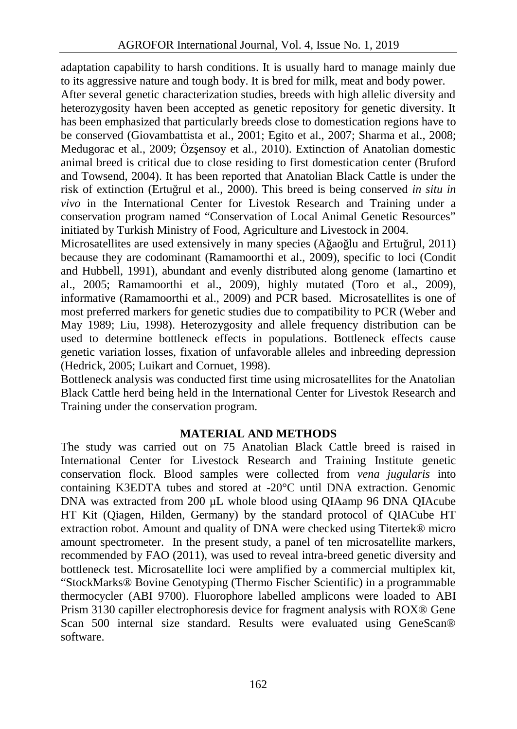adaptation capability to harsh conditions. It is usually hard to manage mainly due to its aggressive nature and tough body. It is bred for milk, meat and body power.

After several genetic characterization studies, breeds with high allelic diversity and heterozygosity haven been accepted as genetic repository for genetic diversity. It has been emphasized that particularly breeds close to domestication regions have to be conserved (Giovambattista et al., 2001; Egito et al., 2007; Sharma et al., 2008; Medugorac et al., 2009; Öz ensoy et al., 2010). Extinction of Anatolian domestic animal breed is critical due to close residing to first domestication center (Bruford and Towsend, 2004). It has been reported that Anatolian Black Cattle is under the risk of extinction (Ertu rul et al., 2000). This breed is being conserved *in situ in vivo* in the International Center for Livestok Research and Training under a conservation program named "Conservation of Local Animal Genetic Resources" initiated by Turkish Ministry of Food, Agriculture and Livestock in 2004.

Microsatellites are used extensively in many species (A ao lu and Ertu rul, 2011) because they are codominant (Ramamoorthi et al., 2009), specific to loci (Condit and Hubbell, 1991), abundant and evenly distributed along genome (Iamartino et al., 2005; Ramamoorthi et al., 2009), highly mutated (Toro et al., 2009), informative (Ramamoorthi et al., 2009) and PCR based. Microsatellites is one of most preferred markers for genetic studies due to compatibility to PCR (Weber and May 1989; Liu, 1998). Heterozygosity and allele frequency distribution can be used to determine bottleneck effects in populations. Bottleneck effects cause genetic variation losses, fixation of unfavorable alleles and inbreeding depression (Hedrick, 2005; Luikart and Cornuet, 1998).

Bottleneck analysis was conducted first time using microsatellites for the Anatolian Black Cattle herd being held in the International Center for Livestok Research and Training under the conservation program.

## **MATERIAL AND METHODS**

The study was carried out on 75 Anatolian Black Cattle breed is raised in International Center for Livestock Research and Training Institute genetic conservation flock. Blood samples were collected from *vena jugularis* into containing K3EDTA tubes and stored at -20°C until DNA extraction. Genomic DNA was extracted from 200 µL whole blood using QIAamp 96 DNA QIAcube HT Kit (Qiagen, Hilden, Germany) by the standard protocol of QIACube HT extraction robot. Amount and quality of DNA were checked using Titertek® micro amount spectrometer. In the present study, a panel of ten microsatellite markers, recommended by FAO (2011), was used to reveal intra-breed genetic diversity and bottleneck test. Microsatellite loci were amplified by a commercial multiplex kit, "StockMarks® Bovine Genotyping (Thermo Fischer Scientific) in a programmable thermocycler (ABI 9700). Fluorophore labelled amplicons were loaded to ABI Prism 3130 capiller electrophoresis device for fragment analysis with ROX® Gene Scan 500 internal size standard. Results were evaluated using GeneScan® software.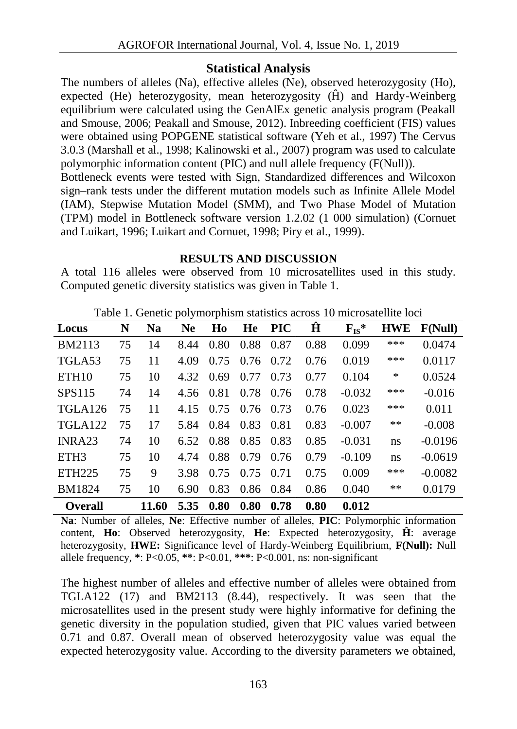## **Statistical Analysis**

The numbers of alleles (Na), effective alleles (Ne), observed heterozygosity (Ho), expected (He) heterozygosity, mean heterozygosity  $($  ) and Hardy-Weinberg equilibrium were calculated using the GenAlEx genetic analysis program (Peakall and Smouse, 2006; Peakall and Smouse, 2012). Inbreeding coefficient (FIS) values were obtained using POPGENE statistical software (Yeh et al., 1997) The Cervus 3.0.3 (Marshall et al., 1998; Kalinowski et al., 2007) program was used to calculate polymorphic information content (PIC) and null allele frequency (F(Null)).

Bottleneck events were tested with Sign, Standardized differences and Wilcoxon sign–rank tests under the different mutation models such as Infinite Allele Model (IAM), Stepwise Mutation Model (SMM), and Two Phase Model of Mutation (TPM) model in Bottleneck software version 1.2.02 (1 000 simulation) (Cornuet and Luikart, 1996; Luikart and Cornuet, 1998; Piry et al., 1999).

### **RESULTS AND DISCUSSION**

A total 116 alleles were observed from 10 microsatellites used in this study. Computed genetic diversity statistics was given in Table 1.

| Locus               | N  | <b>Na</b> | Ne.  | Ho                  | He               | <b>PIC</b> |      | $F_{IS}^*$ | <b>HWE</b> | F(Null)   |
|---------------------|----|-----------|------|---------------------|------------------|------------|------|------------|------------|-----------|
| <b>BM2113</b>       | 75 | 14        |      | 8.44 0.80           | 0.88             | 0.87       | 0.88 | 0.099      | ***        | 0.0474    |
| TGLA <sub>53</sub>  | 75 | 11        | 4.09 |                     | $0.75$ 0.76 0.72 |            | 0.76 | 0.019      | $***$      | 0.0117    |
| ETH <sub>10</sub>   | 75 | 10        |      | 4.32 0.69           | 0.77             | 0.73       | 0.77 | 0.104      | $\ast$     | 0.0524    |
| SPS115              | 74 | 14        |      | 4.56 0.81 0.78      |                  | 0.76       | 0.78 | $-0.032$   | ***        | $-0.016$  |
| TGLA <sub>126</sub> | 75 | 11        |      | 4.15 0.75 0.76      |                  | 0.73       | 0.76 | 0.023      | ***        | 0.011     |
| TGLA <sub>122</sub> | 75 | 17        |      | 5.84 0.84 0.83      |                  | 0.81       | 0.83 | $-0.007$   | $**$       | $-0.008$  |
| INRA <sub>23</sub>  | 74 | 10        |      | 6.52 0.88 0.85 0.83 |                  |            | 0.85 | $-0.031$   | ns         | $-0.0196$ |
| ETH <sub>3</sub>    | 75 | 10        |      | 4.74 0.88           | 0.79             | 0.76       | 0.79 | $-0.109$   | ns         | $-0.0619$ |
| ETH <sub>225</sub>  | 75 | 9         | 3.98 |                     | $0.75$ 0.75      | 0.71       | 0.75 | 0.009      | ***        | $-0.0082$ |
| <b>BM1824</b>       | 75 | 10        | 6.90 |                     | 0.83 0.86 0.84   |            | 0.86 | 0.040      | $***$      | 0.0179    |
| <b>Overall</b>      |    | 11.60     |      | 5.35 0.80           | 0.80             | 0.78       | 0.80 | 0.012      |            |           |

Table 1. Genetic polymorphism statistics across 10 microsatellite loci

**Na**: Number of alleles, **Ne**: Effective number of alleles, **PIC**: Polymorphic information content, **Ho**: Observed heterozygosity, **He**: Expected heterozygosity, : average heterozygosity, **HWE:** Significance level of Hardy-Weinberg Equilibrium, **F(Null):** Null allele frequency, **\***: P<0.05, **\*\***: P<0.01, **\*\*\***: P<0.001, ns: non-significant

The highest number of alleles and effective number of alleles were obtained from TGLA122 (17) and BM2113 (8.44), respectively. It was seen that the microsatellites used in the present study were highly informative for defining the genetic diversity in the population studied, given that PIC values varied between 0.71 and 0.87. Overall mean of observed heterozygosity value was equal the expected heterozygosity value. According to the diversity parameters we obtained,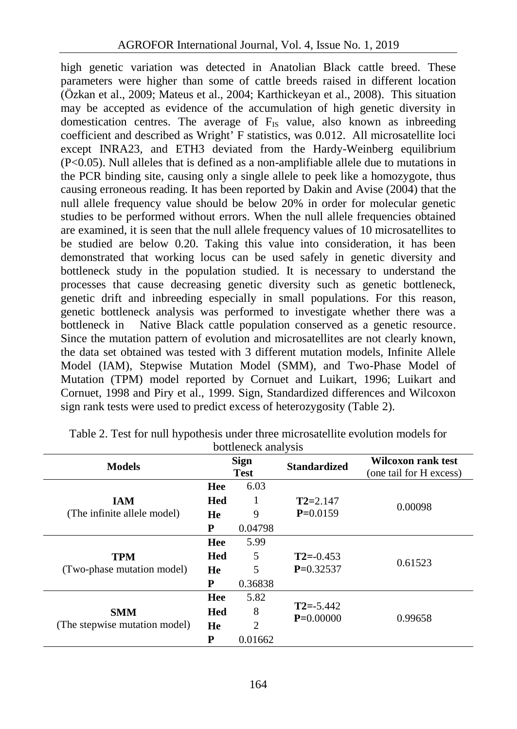high genetic variation was detected in Anatolian Black cattle breed. These parameters were higher than some of cattle breeds raised in different location (Özkan et al., 2009; Mateus et al., 2004; Karthickeyan et al., 2008). This situation may be accepted as evidence of the accumulation of high genetic diversity in domestication centres. The average of  $F_{IS}$  value, also known as inbreeding coefficient and described as Wright' F statistics, was 0.012. All microsatellite loci except INRA23, and ETH3 deviated from the Hardy-Weinberg equilibrium (P<0.05). Null alleles that is defined as a non-amplifiable allele due to mutations in the PCR binding site, causing only a single allele to peek like a homozygote, thus causing erroneous reading. It has been reported by Dakin and Avise (2004) that the null allele frequency value should be below 20% in order for molecular genetic studies to be performed without errors. When the null allele frequencies obtained are examined, it is seen that the null allele frequency values of 10 microsatellites to be studied are below 0.20. Taking this value into consideration, it has been demonstrated that working locus can be used safely in genetic diversity and bottleneck study in the population studied. It is necessary to understand the processes that cause decreasing genetic diversity such as genetic bottleneck, genetic drift and inbreeding especially in small populations. For this reason, genetic bottleneck analysis was performed to investigate whether there was a bottleneck in Native Black cattle population conserved as a genetic resource. Since the mutation pattern of evolution and microsatellites are not clearly known, the data set obtained was tested with 3 different mutation models, Infinite Allele Model (IAM), Stepwise Mutation Model (SMM), and Two-Phase Model of Mutation (TPM) model reported by Cornuet and Luikart, 1996; Luikart and Cornuet, 1998 and Piry et al., 1999. Sign, Standardized differences and Wilcoxon sign rank tests were used to predict excess of heterozygosity (Table 2).

|                               |                            | bottleneck analysis |                     |                                               |  |
|-------------------------------|----------------------------|---------------------|---------------------|-----------------------------------------------|--|
| <b>Models</b>                 | <b>Sign</b><br><b>Test</b> |                     | <b>Standardized</b> | Wilcoxon rank test<br>(one tail for H excess) |  |
|                               | Hee                        | 6.03                |                     |                                               |  |
| <b>IAM</b>                    | <b>Hed</b>                 | 1                   | $T2 = 2.147$        |                                               |  |
| (The infinite allele model)   | He                         | 9                   | $P=0.0159$          | 0.00098                                       |  |
|                               | P                          | 0.04798             |                     |                                               |  |
|                               | Hee                        | 5.99                |                     |                                               |  |
| <b>TPM</b>                    | <b>Hed</b>                 | 5                   | $T2 = -0.453$       | 0.61523                                       |  |
| (Two-phase mutation model)    | He                         | 5                   | $P=0.32537$         |                                               |  |
|                               | P                          | 0.36838             |                     |                                               |  |
|                               | Hee                        | 5.82                |                     |                                               |  |
| <b>SMM</b>                    | Hed                        | 8                   | $T2 = -5.442$       |                                               |  |
| (The stepwise mutation model) | He                         | $\mathfrak{D}$      | $P=0.00000$         | 0.99658                                       |  |
|                               | P                          | 0.01662             |                     |                                               |  |

Table 2. Test for null hypothesis under three microsatellite evolution models for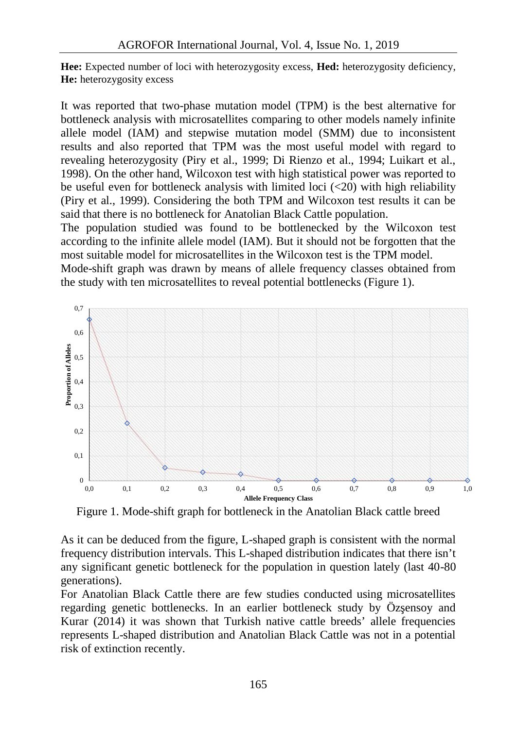**Hee:** Expected number of loci with heterozygosity excess, **Hed:** heterozygosity deficiency, **He:** heterozygosity excess

It was reported that two-phase mutation model (TPM) is the best alternative for bottleneck analysis with microsatellites comparing to other models namely infinite allele model (IAM) and stepwise mutation model (SMM) due to inconsistent results and also reported that TPM was the most useful model with regard to revealing heterozygosity (Piry et al., 1999; Di Rienzo et al., 1994; Luikart et al., 1998). On the other hand, Wilcoxon test with high statistical power was reported to be useful even for bottleneck analysis with limited loci  $\left( \langle 20 \rangle \right)$  with high reliability (Piry et al., 1999). Considering the both TPM and Wilcoxon test results it can be said that there is no bottleneck for Anatolian Black Cattle population.

The population studied was found to be bottlenecked by the Wilcoxon test according to the infinite allele model (IAM). But it should not be forgotten that the most suitable model for microsatellites in the Wilcoxon test is the TPM model.

Mode-shift graph was drawn by means of allele frequency classes obtained from the study with ten microsatellites to reveal potential bottlenecks (Figure 1).



Figure 1. Mode-shift graph for bottleneck in the Anatolian Black cattle breed

As it can be deduced from the figure, L-shaped graph is consistent with the normal frequency distribution intervals. This L-shaped distribution indicates that there isn't any significant genetic bottleneck for the population in question lately (last 40-80 generations).

For Anatolian Black Cattle there are few studies conducted using microsatellites regarding genetic bottlenecks. In an earlier bottleneck study by  $\ddot{O}z$  ensoy and Kurar (2014) it was shown that Turkish native cattle breeds' allele frequencies represents L-shaped distribution and Anatolian Black Cattle was not in a potential risk of extinction recently.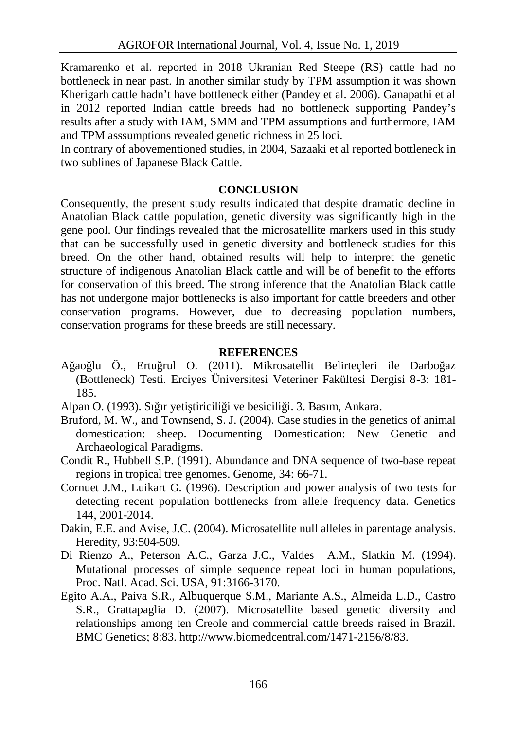Kramarenko et al. reported in 2018 Ukranian Red Steepe (RS) cattle had no bottleneck in near past. In another similar study by TPM assumption it was shown Kherigarh cattle hadn't have bottleneck either (Pandey et al. 2006). Ganapathi et al in 2012 reported Indian cattle breeds had no bottleneck supporting Pandey's results after a study with IAM, SMM and TPM assumptions and furthermore, IAM and TPM asssumptions revealed genetic richness in 25 loci.

In contrary of abovementioned studies, in 2004, Sazaaki et al reported bottleneck in two sublines of Japanese Black Cattle.

### **CONCLUSION**

Consequently, the present study results indicated that despite dramatic decline in Anatolian Black cattle population, genetic diversity was significantly high in the gene pool. Our findings revealed that the microsatellite markers used in this study that can be successfully used in genetic diversity and bottleneck studies for this breed. On the other hand, obtained results will help to interpret the genetic structure of indigenous Anatolian Black cattle and will be of benefit to the efforts for conservation of this breed. The strong inference that the Anatolian Black cattle has not undergone major bottlenecks is also important for cattle breeders and other conservation programs. However, due to decreasing population numbers, conservation programs for these breeds are still necessary.

#### **REFERENCES**

A ao lu Ö., Ertu rul O. (2011). Mikrosatellit Belirtecleri ile Darbo az (Bottleneck) Testi. Erciyes Üniversitesi Veteriner Fakültesi Dergisi 8-3: 181- 185.

Alpan O. (1993). Sı ir yeti tiricili i ve besicili i. 3. Basım, Ankara.

- Bruford, M. W., and Townsend, S. J. (2004). Case studies in the genetics of animal domestication: sheep. Documenting Domestication: New Genetic and Archaeological Paradigms.
- Condit R., Hubbell S.P. (1991). Abundance and DNA sequence of two-base repeat regions in tropical tree genomes. Genome, 34: 66-71.
- Cornuet J.M., Luikart G. (1996). Description and power analysis of two tests for detecting recent population bottlenecks from allele frequency data. Genetics 144, 2001-2014.
- Dakin, E.E. and Avise, J.C. (2004). Microsatellite null alleles in parentage analysis. Heredity, 93:504-509.
- Di Rienzo A., Peterson A.C., Garza J.C., Valdes A.M., Slatkin M. (1994). Mutational processes of simple sequence repeat loci in human populations, Proc. Natl. Acad. Sci. USA, 91:3166-3170.
- Egito A.A., Paiva S.R., Albuquerque S.M., Mariante A.S., Almeida L.D., Castro S.R., Grattapaglia D. (2007). Microsatellite based genetic diversity and relationships among ten Creole and commercial cattle breeds raised in Brazil. BMC Genetics; 8:83. http://www.biomedcentral.com/1471-2156/8/83.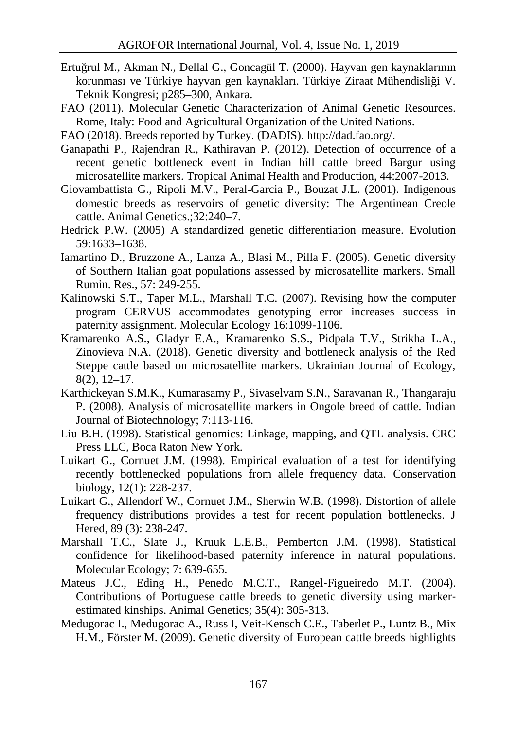- Ertu rul M., Akman N., Dellal G., Goncagül T. (2000). Hayvan gen kaynaklarının korunması ve Türkiye hayvan gen kaynakları. Türkiye Ziraat Mühendisliği V. Teknik Kongresi; p285–300, Ankara.
- FAO (2011). Molecular Genetic Characterization of Animal Genetic Resources. Rome, Italy: Food and Agricultural Organization of the United Nations.
- FAO (2018). Breeds reported by Turkey. (DADIS). http://dad.fao.org/.
- Ganapathi P., Rajendran R., Kathiravan P. (2012). Detection of occurrence of a recent genetic bottleneck event in Indian hill cattle breed Bargur using microsatellite markers. Tropical Animal Health and Production, 44:2007-2013.
- Giovambattista G., Ripoli M.V., Peral-Garcia P., Bouzat J.L. (2001). Indigenous domestic breeds as reservoirs of genetic diversity: The Argentinean Creole cattle. Animal Genetics.;32:240–7.
- Hedrick P.W. (2005) A standardized genetic differentiation measure. Evolution 59:1633–1638.
- Iamartino D., Bruzzone A., Lanza A., Blasi M., Pilla F. (2005). Genetic diversity of Southern Italian goat populations assessed by microsatellite markers. Small Rumin. Res., 57: 249-255.
- Kalinowski S.T., Taper M.L., Marshall T.C. (2007). Revising how the computer program CERVUS accommodates genotyping error increases success in paternity assignment. Molecular Ecology 16:1099-1106.
- Kramarenko A.S., Gladyr E.A., Kramarenko S.S., Pidpala T.V., Strikha L.A., Zinovieva N.A. (2018). Genetic diversity and bottleneck analysis of the Red Steppe cattle based on microsatellite markers. Ukrainian Journal of Ecology, 8(2), 12–17.
- Karthickeyan S.M.K., Kumarasamy P., Sivaselvam S.N., Saravanan R., Thangaraju P. (2008). Analysis of microsatellite markers in Ongole breed of cattle. Indian Journal of Biotechnology; 7:113-116.
- Liu B.H. (1998). Statistical genomics: Linkage, mapping, and QTL analysis. CRC Press LLC, Boca Raton New York.
- Luikart G., Cornuet J.M. (1998). Empirical evaluation of a test for identifying recently bottlenecked populations from allele frequency data. Conservation biology, 12(1): 228-237.
- Luikart G., Allendorf W., Cornuet J.M., Sherwin W.B. (1998). Distortion of allele frequency distributions provides a test for recent population bottlenecks. J Hered, 89 (3): 238-247.
- Marshall T.C., Slate J., Kruuk L.E.B., Pemberton J.M. (1998). Statistical confidence for likelihood-based paternity inference in natural populations. Molecular Ecology; 7: 639-655.<br>Mateus J.C., Eding H., Penedo M.C.T., Rangel-Figueiredo M.T. (2004).
- Contributions of Portuguese cattle breeds to genetic diversity using marker-<br>estimated kinships. Animal Genetics; 35(4): 305-313.
- Medugorac I., Medugorac A., Russ I, Veit-Kensch C.E., Taberlet P., Luntz B., Mix H.M., Förster M. (2009). Genetic diversity of European cattle breeds highlights